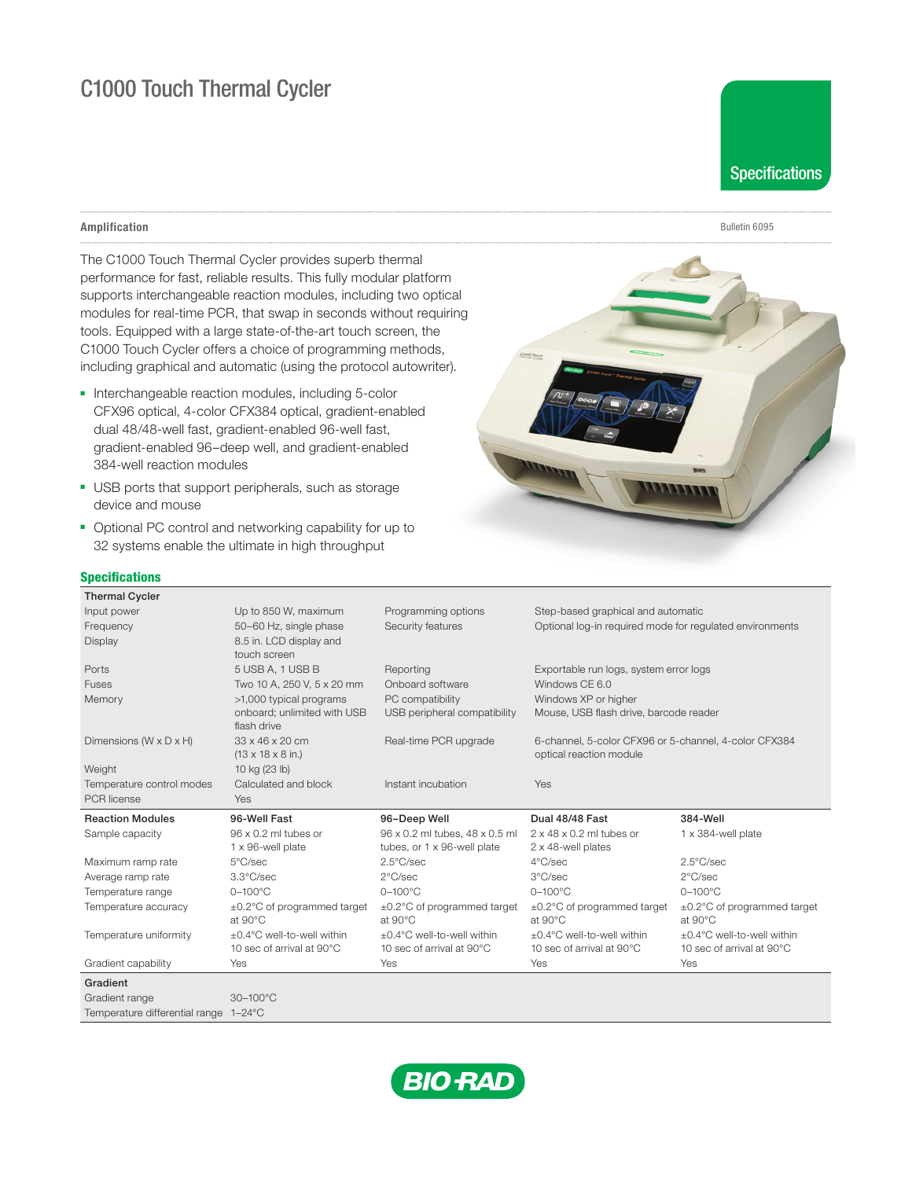# C1000 Touch Thermal Cycler

## Amplification

The C1000 Touch Thermal Cycler provides superb thermal performance for fast, reliable results. This fully modular platform supports interchangeable reaction modules, including two optical modules for real-time PCR, that swap in seconds without requiring tools. Equipped with a large state-of-the-art touch screen, the C1000 Touch Cycler offers a choice of programming methods, including graphical and automatic (using the protocol autowriter).

- Interchangeable reaction modules, including 5-color CFX96 optical, 4-color CFX384 optical, gradient-enabled dual 48/48-well fast, gradient-enabled 96-well fast, gradient-enabled 96–deep well, and gradient-enabled 384-well reaction modules
- USB ports that support peripherals, such as storage device and mouse
- Optional PC control and networking capability for up to 32 systems enable the ultimate in high throughput



## **Specifications**

| , povinivativno                       |                                            |                                |                                                          |                                                       |  |
|---------------------------------------|--------------------------------------------|--------------------------------|----------------------------------------------------------|-------------------------------------------------------|--|
| <b>Thermal Cycler</b>                 |                                            |                                |                                                          |                                                       |  |
| Input power                           | Up to 850 W, maximum                       | Programming options            | Step-based graphical and automatic                       |                                                       |  |
| Frequency                             | 50-60 Hz, single phase                     | Security features              | Optional log-in required mode for requlated environments |                                                       |  |
| Display                               | 8.5 in. LCD display and                    |                                |                                                          |                                                       |  |
|                                       | touch screen                               |                                |                                                          |                                                       |  |
| Ports                                 | 5 USB A, 1 USB B                           | Reporting                      | Exportable run logs, system error logs                   |                                                       |  |
| Fuses                                 | Two 10 A, 250 V, 5 x 20 mm                 | Onboard software               | Windows CE 6.0                                           |                                                       |  |
| Memory                                | >1,000 typical programs                    | PC compatibility               | Windows XP or higher                                     |                                                       |  |
|                                       | onboard: unlimited with USB<br>flash drive | USB peripheral compatibility   | Mouse, USB flash drive, barcode reader                   |                                                       |  |
| Dimensions ( $W \times D \times H$ )  | 33 x 46 x 20 cm                            | Real-time PCR upgrade          |                                                          | 6-channel, 5-color CFX96 or 5-channel, 4-color CFX384 |  |
|                                       | $(13 \times 18 \times 8)$ in.)             |                                | optical reaction module                                  |                                                       |  |
| Weight                                | 10 kg (23 lb)                              |                                |                                                          |                                                       |  |
| Temperature control modes             | Calculated and block                       | Instant incubation             | Yes                                                      |                                                       |  |
| <b>PCR</b> license                    | Yes                                        |                                |                                                          |                                                       |  |
| <b>Reaction Modules</b>               | 96-Well Fast                               | 96-Deep Well                   | Dual 48/48 Fast                                          | 384-Well                                              |  |
| Sample capacity                       | $96 \times 0.2$ ml tubes or                | 96 x 0.2 ml tubes, 48 x 0.5 ml | $2 \times 48 \times 0.2$ ml tubes or                     | $1 \times 384$ -well plate                            |  |
|                                       | 1 x 96-well plate                          | tubes, or 1 x 96-well plate    | 2 x 48-well plates                                       |                                                       |  |
| Maximum ramp rate                     | 5°C/sec                                    | $2.5^{\circ}$ C/sec            | $4^{\circ}$ C/sec                                        | $2.5^{\circ}$ C/sec                                   |  |
| Average ramp rate                     | 3.3°C/sec                                  | $2^{\circ}$ C/sec              | 3°C/sec                                                  | $2^{\circ}$ C/sec                                     |  |
| Temperature range                     | $0-100^{\circ}$ C                          | $0-100^{\circ}$ C              | $0-100^{\circ}$ C                                        | $0 - 100^{\circ}$ C                                   |  |
| Temperature accuracy                  | $\pm 0.2^{\circ}$ C of programmed target   | ±0.2°C of programmed target    | $\pm$ 0.2°C of programmed target                         | ±0.2°C of programmed target                           |  |
|                                       | at 90°C                                    | at 90°C                        | at 90°C                                                  | at 90°C                                               |  |
| Temperature uniformity                | ±0.4°C well-to-well within                 | ±0.4°C well-to-well within     | ±0.4°C well-to-well within                               | ±0.4°C well-to-well within                            |  |
|                                       | 10 sec of arrival at 90°C                  | 10 sec of arrival at 90°C      | 10 sec of arrival at 90°C                                | 10 sec of arrival at 90°C                             |  |
| Gradient capability                   | Yes                                        | Yes                            | Yes                                                      | Yes                                                   |  |
| Gradient                              |                                            |                                |                                                          |                                                       |  |
| Gradient range                        | $30 - 100^{\circ}$ C                       |                                |                                                          |                                                       |  |
| Temperature differential range 1-24°C |                                            |                                |                                                          |                                                       |  |





Bulletin 6095